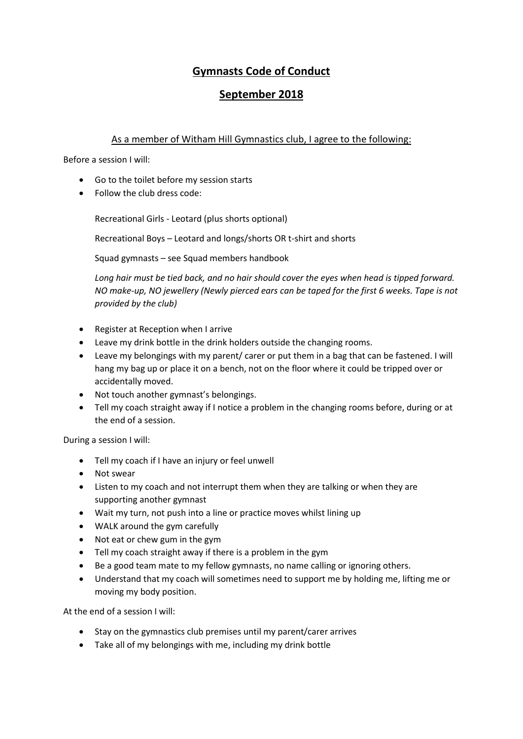# **Gymnasts Code of Conduct**

## **September 2018**

#### As a member of Witham Hill Gymnastics club, I agree to the following:

Before a session I will:

- Go to the toilet before my session starts
- Follow the club dress code:

Recreational Girls - Leotard (plus shorts optional)

Recreational Boys – Leotard and longs/shorts OR t-shirt and shorts

Squad gymnasts – see Squad members handbook

*Long hair must be tied back, and no hair should cover the eyes when head is tipped forward. NO make-up, NO jewellery (Newly pierced ears can be taped for the first 6 weeks. Tape is not provided by the club)* 

- Register at Reception when I arrive
- Leave my drink bottle in the drink holders outside the changing rooms.
- Leave my belongings with my parent/ carer or put them in a bag that can be fastened. I will hang my bag up or place it on a bench, not on the floor where it could be tripped over or accidentally moved.
- Not touch another gymnast's belongings.
- Tell my coach straight away if I notice a problem in the changing rooms before, during or at the end of a session.

During a session I will:

- Tell my coach if I have an injury or feel unwell
- Not swear
- Listen to my coach and not interrupt them when they are talking or when they are supporting another gymnast
- Wait my turn, not push into a line or practice moves whilst lining up
- WALK around the gym carefully
- Not eat or chew gum in the gym
- Tell my coach straight away if there is a problem in the gym
- Be a good team mate to my fellow gymnasts, no name calling or ignoring others.
- Understand that my coach will sometimes need to support me by holding me, lifting me or moving my body position.

At the end of a session I will:

- Stay on the gymnastics club premises until my parent/carer arrives
- Take all of my belongings with me, including my drink bottle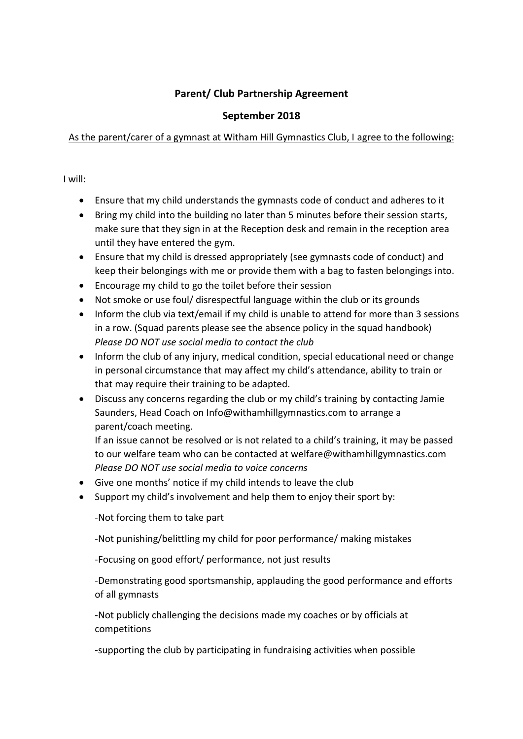#### **Parent/ Club Partnership Agreement**

## **September 2018**

#### As the parent/carer of a gymnast at Witham Hill Gymnastics Club, I agree to the following:

I will:

- Ensure that my child understands the gymnasts code of conduct and adheres to it
- Bring my child into the building no later than 5 minutes before their session starts, make sure that they sign in at the Reception desk and remain in the reception area until they have entered the gym.
- Ensure that my child is dressed appropriately (see gymnasts code of conduct) and keep their belongings with me or provide them with a bag to fasten belongings into.
- Encourage my child to go the toilet before their session
- Not smoke or use foul/ disrespectful language within the club or its grounds
- Inform the club via text/email if my child is unable to attend for more than 3 sessions in a row. (Squad parents please see the absence policy in the squad handbook) *Please DO NOT use social media to contact the club*
- Inform the club of any injury, medical condition, special educational need or change in personal circumstance that may affect my child's attendance, ability to train or that may require their training to be adapted.
- Discuss any concerns regarding the club or my child's training by contacting Jamie Saunders, Head Coach on [Info@withamhillgymnastics.com](mailto:Info@withamhillgymnastics.com) to arrange a parent/coach meeting.

If an issue cannot be resolved or is not related to a child's training, it may be passed to our welfare team who can be contacted at [welfare@withamhillgymnastics.com](mailto:welfare@withamhillgymnastics.com) *Please DO NOT use social media to voice concerns*

- Give one months' notice if my child intends to leave the club
- Support my child's involvement and help them to enjoy their sport by:

-Not forcing them to take part

-Not punishing/belittling my child for poor performance/ making mistakes

-Focusing on good effort/ performance, not just results

-Demonstrating good sportsmanship, applauding the good performance and efforts of all gymnasts

-Not publicly challenging the decisions made my coaches or by officials at competitions

-supporting the club by participating in fundraising activities when possible